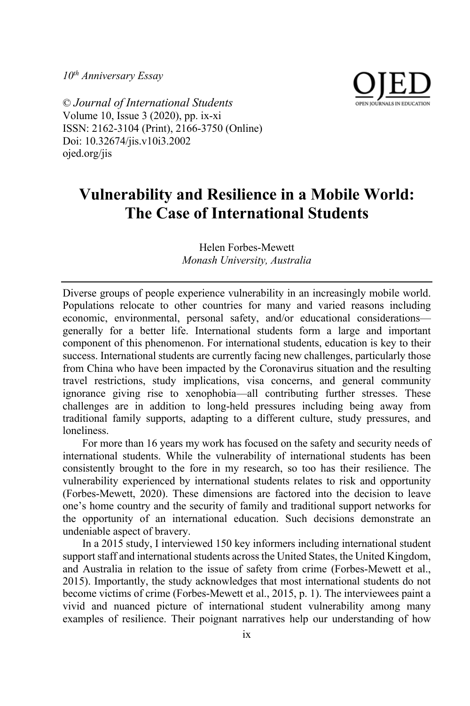*10th Anniversary Essay*



© *Journal of International Students* Volume 10, Issue 3 (2020), pp. ix-xi ISSN: 2162-3104 (Print), 2166-3750 (Online) Doi: 10.32674/jis.v10i3.2002 ojed.org/jis

## **Vulnerability and Resilience in a Mobile World: The Case of International Students**

Helen Forbes-Mewett *Monash University, Australia*

Diverse groups of people experience vulnerability in an increasingly mobile world. Populations relocate to other countries for many and varied reasons including economic, environmental, personal safety, and/or educational considerations generally for a better life. International students form a large and important component of this phenomenon. For international students, education is key to their success. International students are currently facing new challenges, particularly those from China who have been impacted by the Coronavirus situation and the resulting travel restrictions, study implications, visa concerns, and general community ignorance giving rise to xenophobia—all contributing further stresses. These challenges are in addition to long-held pressures including being away from traditional family supports, adapting to a different culture, study pressures, and loneliness.

For more than 16 years my work has focused on the safety and security needs of international students. While the vulnerability of international students has been consistently brought to the fore in my research, so too has their resilience. The vulnerability experienced by international students relates to risk and opportunity (Forbes-Mewett, 2020). These dimensions are factored into the decision to leave one's home country and the security of family and traditional support networks for the opportunity of an international education. Such decisions demonstrate an undeniable aspect of bravery.

In a 2015 study, I interviewed 150 key informers including international student support staff and international students across the United States, the United Kingdom, and Australia in relation to the issue of safety from crime (Forbes-Mewett et al., 2015). Importantly, the study acknowledges that most international students do not become victims of crime (Forbes-Mewett et al., 2015, p. 1). The interviewees paint a vivid and nuanced picture of international student vulnerability among many examples of resilience. Their poignant narratives help our understanding of how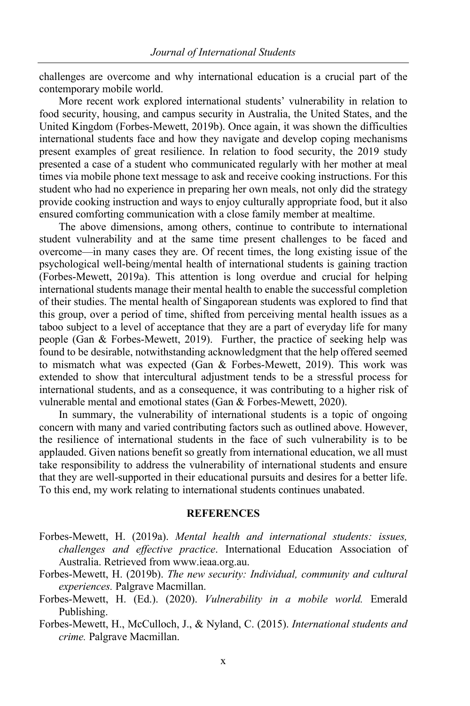challenges are overcome and why international education is a crucial part of the contemporary mobile world.

More recent work explored international students' vulnerability in relation to food security, housing, and campus security in Australia, the United States, and the United Kingdom (Forbes-Mewett, 2019b). Once again, it was shown the difficulties international students face and how they navigate and develop coping mechanisms present examples of great resilience. In relation to food security, the 2019 study presented a case of a student who communicated regularly with her mother at meal times via mobile phone text message to ask and receive cooking instructions. For this student who had no experience in preparing her own meals, not only did the strategy provide cooking instruction and ways to enjoy culturally appropriate food, but it also ensured comforting communication with a close family member at mealtime.

The above dimensions, among others, continue to contribute to international student vulnerability and at the same time present challenges to be faced and overcome—in many cases they are. Of recent times, the long existing issue of the psychological well-being/mental health of international students is gaining traction (Forbes-Mewett, 2019a). This attention is long overdue and crucial for helping international students manage their mental health to enable the successful completion of their studies. The mental health of Singaporean students was explored to find that this group, over a period of time, shifted from perceiving mental health issues as a taboo subject to a level of acceptance that they are a part of everyday life for many people (Gan & Forbes-Mewett, 2019). Further, the practice of seeking help was found to be desirable, notwithstanding acknowledgment that the help offered seemed to mismatch what was expected (Gan & Forbes-Mewett, 2019). This work was extended to show that intercultural adjustment tends to be a stressful process for international students, and as a consequence, it was contributing to a higher risk of vulnerable mental and emotional states (Gan & Forbes-Mewett, 2020).

In summary, the vulnerability of international students is a topic of ongoing concern with many and varied contributing factors such as outlined above. However, the resilience of international students in the face of such vulnerability is to be applauded. Given nations benefit so greatly from international education, we all must take responsibility to address the vulnerability of international students and ensure that they are well-supported in their educational pursuits and desires for a better life. To this end, my work relating to international students continues unabated.

## **REFERENCES**

- Forbes-Mewett, H. (2019a). *Mental health and international students: issues, challenges and effective practice*. International Education Association of Australia. Retrieved from www.ieaa.org.au.
- Forbes-Mewett, H. (2019b). *The new security: Individual, community and cultural experiences.* Palgrave Macmillan.
- Forbes-Mewett, H. (Ed.). (2020). *Vulnerability in a mobile world.* Emerald Publishing.
- Forbes-Mewett, H., McCulloch, J., & Nyland, C. (2015). *International students and crime.* Palgrave Macmillan.